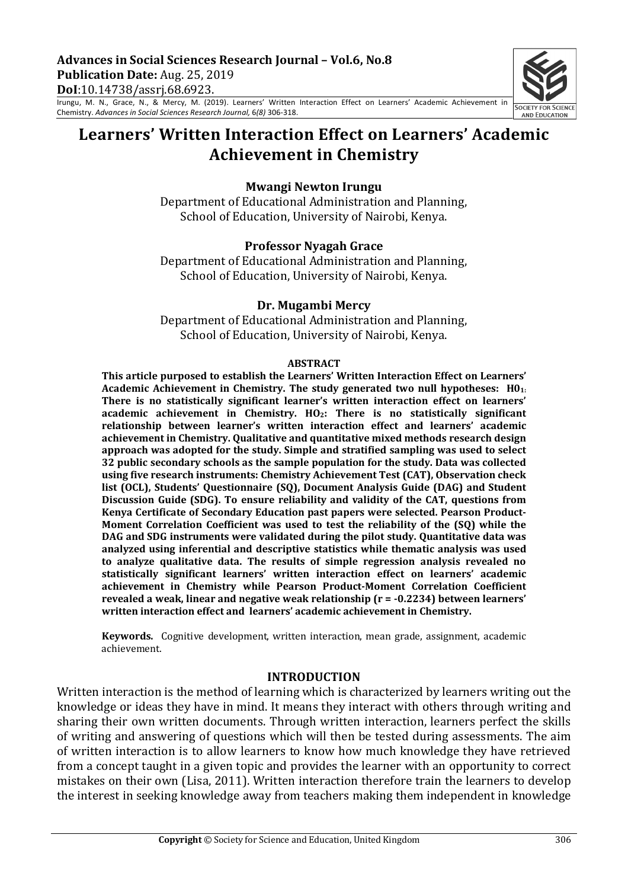Irungu, M. N., Grace, N., & Mercy, M. (2019). Learners' Written Interaction Effect on Learners' Academic Achievement in Chemistry. *Advances in Social Sciences Research Journal,* 6*(8)* 306-318.

# Learners' Written Interaction Effect on Learners' Academic **Achievement in Chemistry**

### **Mwangi Newton Irungu**

Department of Educational Administration and Planning, School of Education, University of Nairobi, Kenya.

#### **Professor Nyagah Grace**

Department of Educational Administration and Planning, School of Education, University of Nairobi, Kenya.

### **Dr. Mugambi Mercy**

Department of Educational Administration and Planning, School of Education, University of Nairobi, Kenya.

#### **ABSTRACT**

This article purposed to establish the Learners' Written Interaction Effect on Learners' Academic Achievement in Chemistry. The study generated two null hypotheses: H0<sub>1:</sub> There is no statistically significant learner's written interaction effect on learners' academic achievement in Chemistry. HO<sub>2</sub>: There is no statistically significant relationship between learner's written interaction effect and learners' academic achievement in Chemistry. Oualitative and quantitative mixed methods research design approach was adopted for the study. Simple and stratified sampling was used to select **32** public secondary schools as the sample population for the study. Data was collected using five research instruments: Chemistry Achievement Test (CAT), Observation check list (OCL), Students' Questionnaire (SQ), Document Analysis Guide (DAG) and Student **Discussion Guide (SDG). To ensure reliability and validity of the CAT, questions from** Kenya Certificate of Secondary Education past papers were selected. Pearson Product-**Moment Correlation Coefficient was used to test the reliability of the (SQ) while the** DAG and SDG instruments were validated during the pilot study. Quantitative data was analyzed using inferential and descriptive statistics while thematic analysis was used to analyze qualitative data. The results of simple regression analysis revealed no statistically significant learners' written interaction effect on learners' academic achievement in Chemistry while Pearson Product-Moment Correlation Coefficient revealed a weak, linear and negative weak relationship ( $r = -0.2234$ ) between learners' written interaction effect and learners' academic achievement in Chemistry.

**Keywords.** Cognitive development, written interaction, mean grade, assignment, academic achievement.

#### **INTRODUCTION**

Written interaction is the method of learning which is characterized by learners writing out the knowledge or ideas they have in mind. It means they interact with others through writing and sharing their own written documents. Through written interaction, learners perfect the skills of writing and answering of questions which will then be tested during assessments. The aim of written interaction is to allow learners to know how much knowledge they have retrieved from a concept taught in a given topic and provides the learner with an opportunity to correct mistakes on their own (Lisa, 2011). Written interaction therefore train the learners to develop the interest in seeking knowledge away from teachers making them independent in knowledge

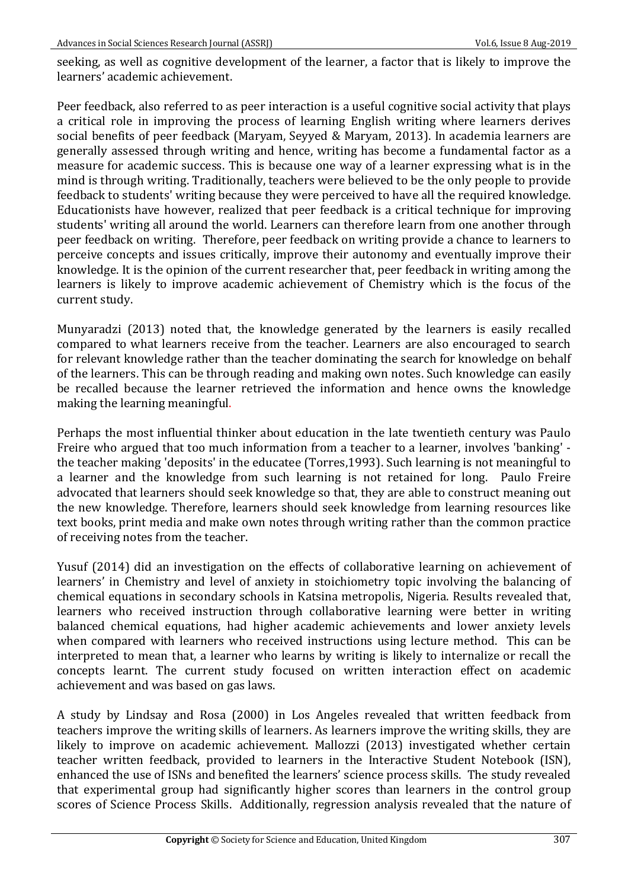seeking, as well as cognitive development of the learner, a factor that is likely to improve the learners' academic achievement.

Peer feedback, also referred to as peer interaction is a useful cognitive social activity that plays a critical role in improving the process of learning English writing where learners derives social benefits of peer feedback (Maryam, Seyyed & Maryam, 2013). In academia learners are generally assessed through writing and hence, writing has become a fundamental factor as a measure for academic success. This is because one way of a learner expressing what is in the mind is through writing. Traditionally, teachers were believed to be the only people to provide feedback to students' writing because they were perceived to have all the required knowledge. Educationists have however, realized that peer feedback is a critical technique for improving students' writing all around the world. Learners can therefore learn from one another through peer feedback on writing. Therefore, peer feedback on writing provide a chance to learners to perceive concepts and issues critically, improve their autonomy and eventually improve their knowledge. It is the opinion of the current researcher that, peer feedback in writing among the learners is likely to improve academic achievement of Chemistry which is the focus of the current study.

Munyaradzi (2013) noted that, the knowledge generated by the learners is easily recalled compared to what learners receive from the teacher. Learners are also encouraged to search for relevant knowledge rather than the teacher dominating the search for knowledge on behalf of the learners. This can be through reading and making own notes. Such knowledge can easily be recalled because the learner retrieved the information and hence owns the knowledge making the learning meaningful.

Perhaps the most influential thinker about education in the late twentieth century was Paulo Freire who argued that too much information from a teacher to a learner, involves 'banking' the teacher making 'deposits' in the educatee (Torres,1993). Such learning is not meaningful to a learner and the knowledge from such learning is not retained for long. Paulo Freire advocated that learners should seek knowledge so that, they are able to construct meaning out the new knowledge. Therefore, learners should seek knowledge from learning resources like text books, print media and make own notes through writing rather than the common practice of receiving notes from the teacher.

Yusuf (2014) did an investigation on the effects of collaborative learning on achievement of learners' in Chemistry and level of anxiety in stoichiometry topic involving the balancing of chemical equations in secondary schools in Katsina metropolis, Nigeria. Results revealed that, learners who received instruction through collaborative learning were better in writing balanced chemical equations, had higher academic achievements and lower anxiety levels when compared with learners who received instructions using lecture method. This can be interpreted to mean that, a learner who learns by writing is likely to internalize or recall the concepts learnt. The current study focused on written interaction effect on academic achievement and was based on gas laws.

A study by Lindsay and Rosa (2000) in Los Angeles revealed that written feedback from teachers improve the writing skills of learners. As learners improve the writing skills, they are likely to improve on academic achievement. Mallozzi (2013) investigated whether certain teacher written feedback, provided to learners in the Interactive Student Notebook (ISN), enhanced the use of ISNs and benefited the learners' science process skills. The study revealed that experimental group had significantly higher scores than learners in the control group scores of Science Process Skills. Additionally, regression analysis revealed that the nature of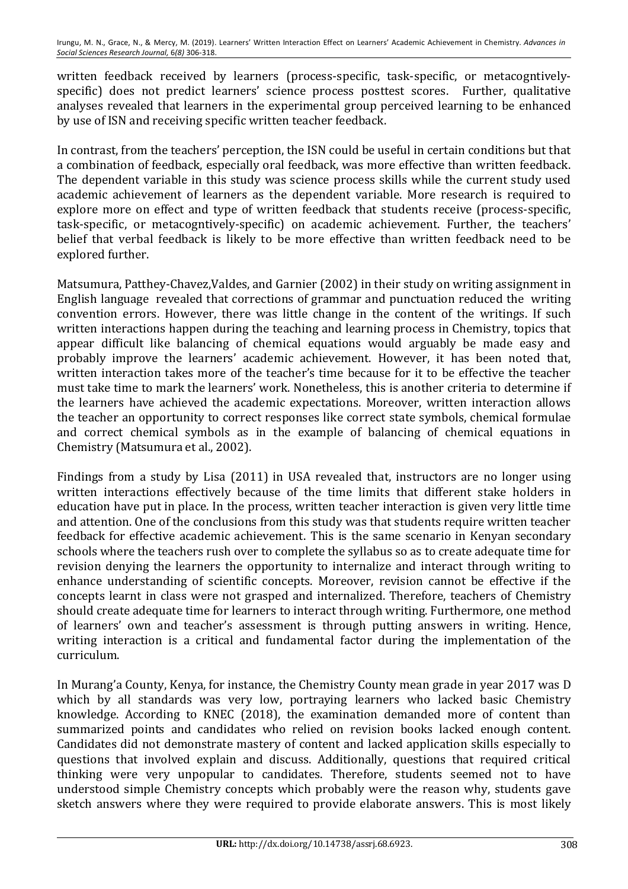written feedback received by learners (process-specific, task-specific, or metacogntivelyspecific) does not predict learners' science process posttest scores. Further, qualitative analyses revealed that learners in the experimental group perceived learning to be enhanced by use of ISN and receiving specific written teacher feedback.

In contrast, from the teachers' perception, the ISN could be useful in certain conditions but that a combination of feedback, especially oral feedback, was more effective than written feedback. The dependent variable in this study was science process skills while the current study used academic achievement of learners as the dependent variable. More research is required to explore more on effect and type of written feedback that students receive (process-specific, task-specific, or metacogntively-specific) on academic achievement. Further, the teachers' belief that verbal feedback is likely to be more effective than written feedback need to be explored further.

Matsumura, Patthey-Chavez, Valdes, and Garnier (2002) in their study on writing assignment in English language revealed that corrections of grammar and punctuation reduced the writing convention errors. However, there was little change in the content of the writings. If such written interactions happen during the teaching and learning process in Chemistry, topics that appear difficult like balancing of chemical equations would arguably be made easy and probably improve the learners' academic achievement. However, it has been noted that, written interaction takes more of the teacher's time because for it to be effective the teacher must take time to mark the learners' work. Nonetheless, this is another criteria to determine if the learners have achieved the academic expectations. Moreover, written interaction allows the teacher an opportunity to correct responses like correct state symbols, chemical formulae and correct chemical symbols as in the example of balancing of chemical equations in Chemistry (Matsumura et al., 2002).

Findings from a study by Lisa (2011) in USA revealed that, instructors are no longer using written interactions effectively because of the time limits that different stake holders in education have put in place. In the process, written teacher interaction is given very little time and attention. One of the conclusions from this study was that students require written teacher feedback for effective academic achievement. This is the same scenario in Kenyan secondary schools where the teachers rush over to complete the syllabus so as to create adequate time for revision denying the learners the opportunity to internalize and interact through writing to enhance understanding of scientific concepts. Moreover, revision cannot be effective if the concepts learnt in class were not grasped and internalized. Therefore, teachers of Chemistry should create adequate time for learners to interact through writing. Furthermore, one method of learners' own and teacher's assessment is through putting answers in writing. Hence, writing interaction is a critical and fundamental factor during the implementation of the curriculum.

In Murang'a County, Kenya, for instance, the Chemistry County mean grade in year 2017 was D which by all standards was very low, portraying learners who lacked basic Chemistry knowledge. According to KNEC (2018), the examination demanded more of content than summarized points and candidates who relied on revision books lacked enough content. Candidates did not demonstrate mastery of content and lacked application skills especially to questions that involved explain and discuss. Additionally, questions that required critical thinking were very unpopular to candidates. Therefore, students seemed not to have understood simple Chemistry concepts which probably were the reason why, students gave sketch answers where they were required to provide elaborate answers. This is most likely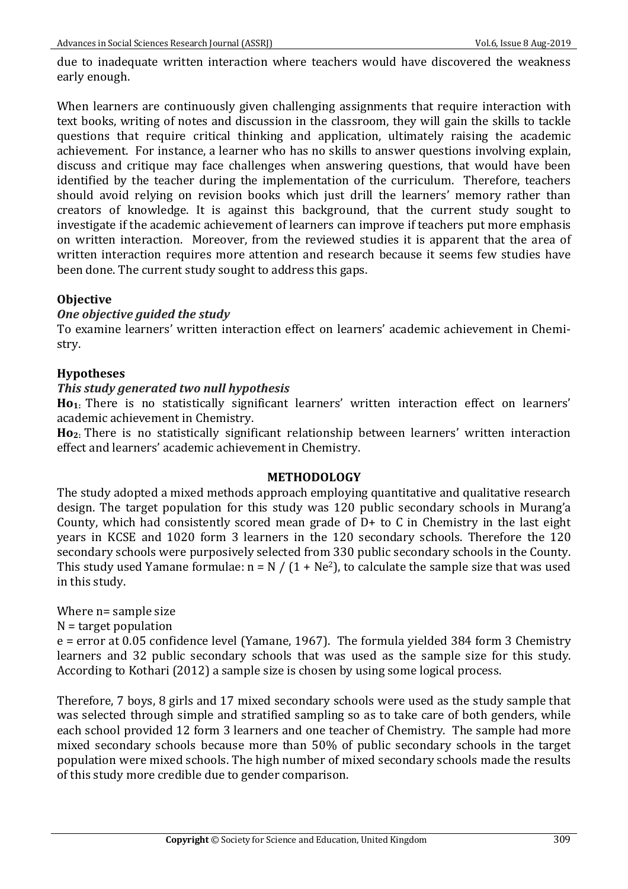due to inadequate written interaction where teachers would have discovered the weakness early enough.

When learners are continuously given challenging assignments that require interaction with text books, writing of notes and discussion in the classroom, they will gain the skills to tackle questions that require critical thinking and application, ultimately raising the academic achievement. For instance, a learner who has no skills to answer questions involving explain, discuss and critique may face challenges when answering questions, that would have been identified by the teacher during the implementation of the curriculum. Therefore, teachers should avoid relying on revision books which just drill the learners' memory rather than creators of knowledge. It is against this background, that the current study sought to investigate if the academic achievement of learners can improve if teachers put more emphasis on written interaction. Moreover, from the reviewed studies it is apparent that the area of written interaction requires more attention and research because it seems few studies have been done. The current study sought to address this gaps.

# **Objective**

# **One objective guided the study**

To examine learners' written interaction effect on learners' academic achievement in Chemistry.

# **Hypotheses**

# **This study generated two null hypothesis**

Ho<sub>1</sub>: There is no statistically significant learners' written interaction effect on learners' academic achievement in Chemistry.

**Ho**<sub>2</sub>: There is no statistically significant relationship between learners' written interaction effect and learners' academic achievement in Chemistry.

### **METHODOLOGY**

The study adopted a mixed methods approach employing quantitative and qualitative research design. The target population for this study was 120 public secondary schools in Murang'a County, which had consistently scored mean grade of  $D+$  to  $C$  in Chemistry in the last eight years in KCSE and 1020 form 3 learners in the 120 secondary schools. Therefore the 120 secondary schools were purposively selected from 330 public secondary schools in the County. This study used Yamane formulae:  $n = N / (1 + Ne^2)$ , to calculate the sample size that was used in this study.

Where n= sample size

 $N =$  target population

 $e =$  error at 0.05 confidence level (Yamane, 1967). The formula yielded 384 form 3 Chemistry learners and 32 public secondary schools that was used as the sample size for this study. According to Kothari (2012) a sample size is chosen by using some logical process.

Therefore, 7 boys, 8 girls and 17 mixed secondary schools were used as the study sample that was selected through simple and stratified sampling so as to take care of both genders, while each school provided 12 form 3 learners and one teacher of Chemistry. The sample had more mixed secondary schools because more than 50% of public secondary schools in the target population were mixed schools. The high number of mixed secondary schools made the results of this study more credible due to gender comparison.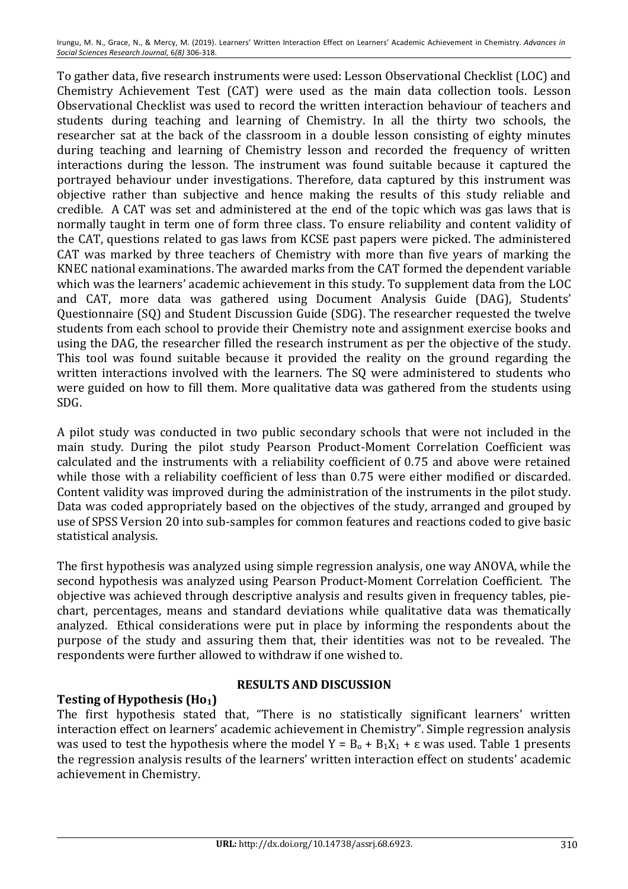To gather data, five research instruments were used: Lesson Observational Checklist (LOC) and Chemistry Achievement Test (CAT) were used as the main data collection tools. Lesson Observational Checklist was used to record the written interaction behaviour of teachers and students during teaching and learning of Chemistry. In all the thirty two schools, the researcher sat at the back of the classroom in a double lesson consisting of eighty minutes during teaching and learning of Chemistry lesson and recorded the frequency of written interactions during the lesson. The instrument was found suitable because it captured the portrayed behaviour under investigations. Therefore, data captured by this instrument was objective rather than subjective and hence making the results of this study reliable and credible. A CAT was set and administered at the end of the topic which was gas laws that is normally taught in term one of form three class. To ensure reliability and content validity of the CAT, questions related to gas laws from KCSE past papers were picked. The administered CAT was marked by three teachers of Chemistry with more than five years of marking the KNEC national examinations. The awarded marks from the CAT formed the dependent variable which was the learners' academic achievement in this study. To supplement data from the LOC and CAT, more data was gathered using Document Analysis Guide (DAG), Students' Questionnaire (SQ) and Student Discussion Guide (SDG). The researcher requested the twelve students from each school to provide their Chemistry note and assignment exercise books and using the DAG, the researcher filled the research instrument as per the objective of the study. This tool was found suitable because it provided the reality on the ground regarding the written interactions involved with the learners. The SQ were administered to students who were guided on how to fill them. More qualitative data was gathered from the students using SDG.

A pilot study was conducted in two public secondary schools that were not included in the main study. During the pilot study Pearson Product-Moment Correlation Coefficient was calculated and the instruments with a reliability coefficient of 0.75 and above were retained while those with a reliability coefficient of less than 0.75 were either modified or discarded. Content validity was improved during the administration of the instruments in the pilot study. Data was coded appropriately based on the objectives of the study, arranged and grouped by use of SPSS Version 20 into sub-samples for common features and reactions coded to give basic statistical analysis.

The first hypothesis was analyzed using simple regression analysis, one way ANOVA, while the second hypothesis was analyzed using Pearson Product-Moment Correlation Coefficient. The objective was achieved through descriptive analysis and results given in frequency tables, piechart, percentages, means and standard deviations while qualitative data was thematically analyzed. Ethical considerations were put in place by informing the respondents about the purpose of the study and assuring them that, their identities was not to be revealed. The respondents were further allowed to withdraw if one wished to.

# **Testing of Hypothesis (Ho<sub>1</sub>)**

# **RESULTS AND DISCUSSION**

The first hypothesis stated that, "There is no statistically significant learners' written interaction effect on learners' academic achievement in Chemistry". Simple regression analysis was used to test the hypothesis where the model  $Y = B_0 + B_1X_1 + \varepsilon$  was used. Table 1 presents the regression analysis results of the learners' written interaction effect on students' academic achievement in Chemistry.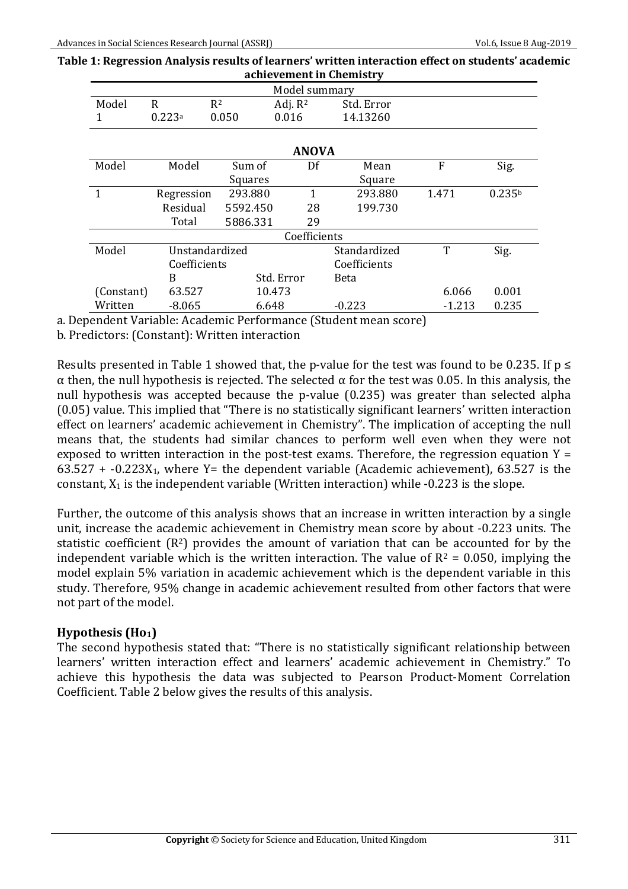Table 1: Regression Analysis results of learners' written interaction effect on students' academic **achievement in Chemistry**

| achievement in Unemistry |                |            |              |              |          |                    |  |
|--------------------------|----------------|------------|--------------|--------------|----------|--------------------|--|
| Model summary            |                |            |              |              |          |                    |  |
| Model                    | $R^2$<br>R     |            | Adj. $R^2$   | Std. Error   |          |                    |  |
| 1                        | 0.223a         | 0.050      | 0.016        | 14.13260     |          |                    |  |
| <b>ANOVA</b>             |                |            |              |              |          |                    |  |
| Model                    | Model          | Sum of     | Df           | Mean         | F        | Sig.               |  |
|                          |                | Squares    |              | Square       |          |                    |  |
| 1                        | Regression     | 293.880    | 1            | 293.880      | 1.471    | 0.235 <sup>b</sup> |  |
|                          | Residual       | 5592.450   | 28           | 199.730      |          |                    |  |
|                          | Total          | 5886.331   | 29           |              |          |                    |  |
| Coefficients             |                |            |              |              |          |                    |  |
| Model                    | Unstandardized |            |              | Standardized | T        | Sig.               |  |
|                          | Coefficients   |            | Coefficients |              |          |                    |  |
|                          | B              | Std. Error |              | Beta         |          |                    |  |
| (Constant)               | 63.527         |            | 10.473       |              | 6.066    | 0.001              |  |
| Written                  | $-8.065$       |            | 6.648        | $-0.223$     | $-1.213$ | 0.235              |  |

a. Dependent Variable: Academic Performance (Student mean score)

b. Predictors: (Constant): Written interaction

Results presented in Table 1 showed that, the p-value for the test was found to be 0.235. If  $p \le$  $\alpha$  then, the null hypothesis is rejected. The selected  $\alpha$  for the test was 0.05. In this analysis, the null hypothesis was accepted because the p-value (0.235) was greater than selected alpha (0.05) value. This implied that "There is no statistically significant learners' written interaction effect on learners' academic achievement in Chemistry". The implication of accepting the null means that, the students had similar chances to perform well even when they were not exposed to written interaction in the post-test exams. Therefore, the regression equation  $Y =$  $63.527 + -0.223X_1$ , where Y= the dependent variable (Academic achievement),  $63.527$  is the constant,  $X_1$  is the independent variable (Written interaction) while -0.223 is the slope.

Further, the outcome of this analysis shows that an increase in written interaction by a single unit, increase the academic achievement in Chemistry mean score by about -0.223 units. The statistic coefficient  $(R^2)$  provides the amount of variation that can be accounted for by the independent variable which is the written interaction. The value of  $R^2 = 0.050$ , implying the model explain 5% variation in academic achievement which is the dependent variable in this study. Therefore, 95% change in academic achievement resulted from other factors that were not part of the model.

# **Hypothesis** (Ho<sub>1</sub>)

The second hypothesis stated that: "There is no statistically significant relationship between learners' written interaction effect and learners' academic achievement in Chemistry." To achieve this hypothesis the data was subjected to Pearson Product-Moment Correlation Coefficient. Table 2 below gives the results of this analysis.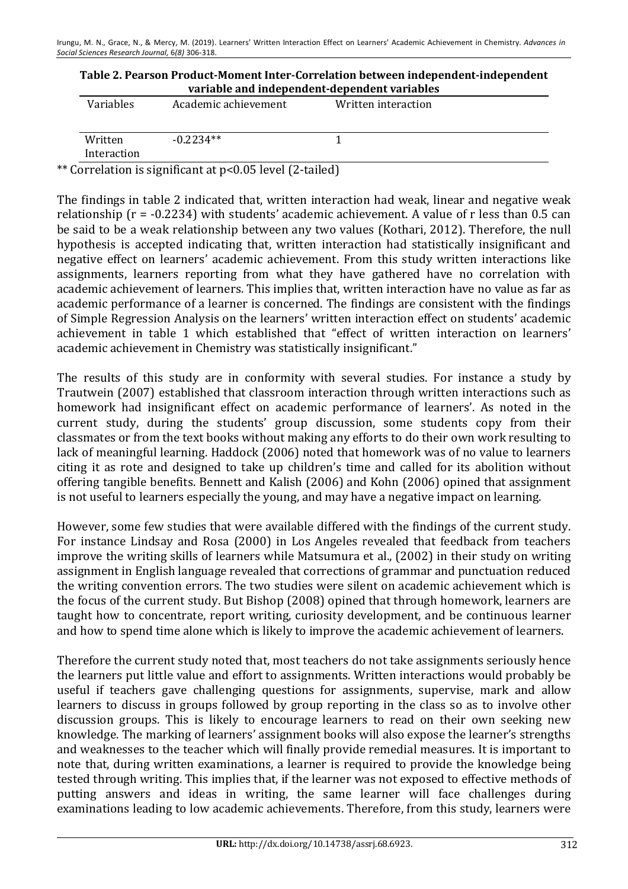| Table 2. Pearson Product-Moment Inter-Correlation between independent-independent |
|-----------------------------------------------------------------------------------|
| variable and independent-dependent variables                                      |

| Variables              | Academic achievement | Written interaction |  |
|------------------------|----------------------|---------------------|--|
| Written<br>Interaction | $-0.2234**$          |                     |  |

\*\* Correlation is significant at  $p<0.05$  level (2-tailed)

The findings in table 2 indicated that, written interaction had weak, linear and negative weak relationship ( $r = -0.2234$ ) with students' academic achievement. A value of r less than 0.5 can be said to be a weak relationship between any two values (Kothari, 2012). Therefore, the null hypothesis is accepted indicating that, written interaction had statistically insignificant and negative effect on learners' academic achievement. From this study written interactions like assignments, learners reporting from what they have gathered have no correlation with academic achievement of learners. This implies that, written interaction have no value as far as academic performance of a learner is concerned. The findings are consistent with the findings of Simple Regression Analysis on the learners' written interaction effect on students' academic achievement in table 1 which established that "effect of written interaction on learners' academic achievement in Chemistry was statistically insignificant."

The results of this study are in conformity with several studies. For instance a study by Trautwein (2007) established that classroom interaction through written interactions such as homework had insignificant effect on academic performance of learners'. As noted in the current study, during the students' group discussion, some students copy from their classmates or from the text books without making any efforts to do their own work resulting to lack of meaningful learning. Haddock (2006) noted that homework was of no value to learners citing it as rote and designed to take up children's time and called for its abolition without offering tangible benefits. Bennett and Kalish (2006) and Kohn (2006) opined that assignment is not useful to learners especially the young, and may have a negative impact on learning.

However, some few studies that were available differed with the findings of the current study. For instance Lindsay and Rosa (2000) in Los Angeles revealed that feedback from teachers improve the writing skills of learners while Matsumura et al., (2002) in their study on writing assignment in English language revealed that corrections of grammar and punctuation reduced the writing convention errors. The two studies were silent on academic achievement which is the focus of the current study. But Bishop (2008) opined that through homework, learners are taught how to concentrate, report writing, curiosity development, and be continuous learner and how to spend time alone which is likely to improve the academic achievement of learners.

Therefore the current study noted that, most teachers do not take assignments seriously hence the learners put little value and effort to assignments. Written interactions would probably be useful if teachers gave challenging questions for assignments, supervise, mark and allow learners to discuss in groups followed by group reporting in the class so as to involve other discussion groups. This is likely to encourage learners to read on their own seeking new knowledge. The marking of learners' assignment books will also expose the learner's strengths and weaknesses to the teacher which will finally provide remedial measures. It is important to note that, during written examinations, a learner is required to provide the knowledge being tested through writing. This implies that, if the learner was not exposed to effective methods of putting answers and ideas in writing, the same learner will face challenges during examinations leading to low academic achievements. Therefore, from this study, learners were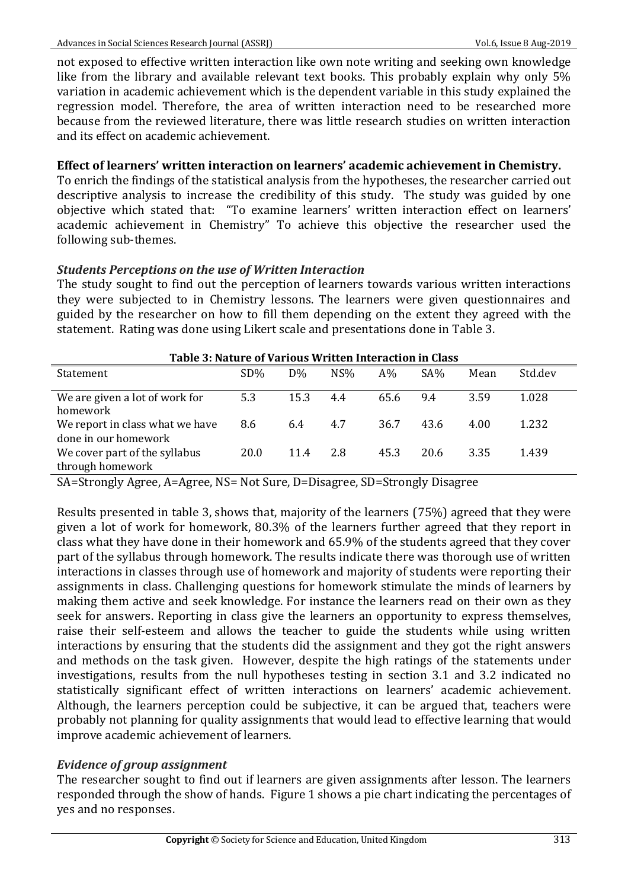not exposed to effective written interaction like own note writing and seeking own knowledge like from the library and available relevant text books. This probably explain why only  $5\%$ variation in academic achievement which is the dependent variable in this study explained the regression model. Therefore, the area of written interaction need to be researched more because from the reviewed literature, there was little research studies on written interaction and its effect on academic achievement.

### **Effect of learners' written interaction on learners' academic achievement in Chemistry.**

To enrich the findings of the statistical analysis from the hypotheses, the researcher carried out descriptive analysis to increase the credibility of this study. The study was guided by one objective which stated that: "To examine learners' written interaction effect on learners' academic achievement in Chemistry" To achieve this objective the researcher used the following sub-themes.

### **Students Perceptions on the use of Written Interaction**

The study sought to find out the perception of learners towards various written interactions they were subjected to in Chemistry lessons. The learners were given questionnaires and guided by the researcher on how to fill them depending on the extent they agreed with the statement. Rating was done using Likert scale and presentations done in Table 3.

| Table 3: Nature of Various Written Interaction in Class |        |       |     |      |      |      |         |  |
|---------------------------------------------------------|--------|-------|-----|------|------|------|---------|--|
| <b>Statement</b>                                        | $SD\%$ | $D\%$ | NS% | A%   | SA%  | Mean | Std.dev |  |
| We are given a lot of work for<br>homework              | 5.3    | 15.3  | 4.4 | 65.6 | 9.4  | 3.59 | 1.028   |  |
| We report in class what we have<br>done in our homework | 8.6    | 6.4   | 4.7 | 36.7 | 43.6 | 4.00 | 1.232   |  |
| We cover part of the syllabus<br>through homework       | 20.0   | 11.4  | 2.8 | 45.3 | 20.6 | 3.35 | 1.439   |  |

#### **Table 3: Nature of Various Written Interaction in Class**

SA=Strongly Agree, A=Agree, NS= Not Sure, D=Disagree, SD=Strongly Disagree

Results presented in table 3, shows that, majority of the learners (75%) agreed that they were given a lot of work for homework, 80.3% of the learners further agreed that they report in class what they have done in their homework and 65.9% of the students agreed that they cover part of the syllabus through homework. The results indicate there was thorough use of written interactions in classes through use of homework and majority of students were reporting their assignments in class. Challenging questions for homework stimulate the minds of learners by making them active and seek knowledge. For instance the learners read on their own as they seek for answers. Reporting in class give the learners an opportunity to express themselves, raise their self-esteem and allows the teacher to guide the students while using written interactions by ensuring that the students did the assignment and they got the right answers and methods on the task given. However, despite the high ratings of the statements under investigations, results from the null hypotheses testing in section 3.1 and 3.2 indicated no statistically significant effect of written interactions on learners' academic achievement. Although, the learners perception could be subjective, it can be argued that, teachers were probably not planning for quality assignments that would lead to effective learning that would improve academic achievement of learners.

# *Evidence of group assignment*

The researcher sought to find out if learners are given assignments after lesson. The learners responded through the show of hands. Figure 1 shows a pie chart indicating the percentages of yes and no responses.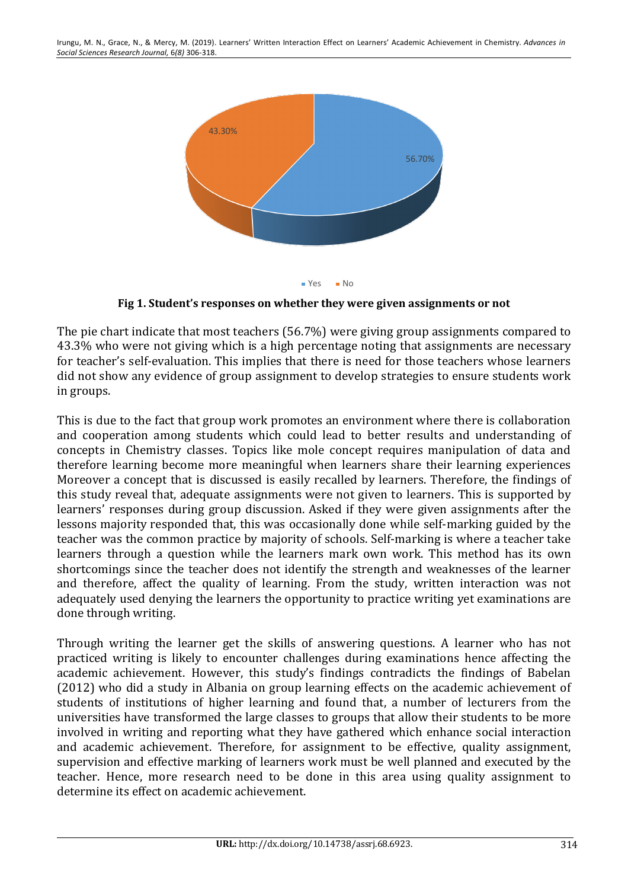

Fig 1. Student's responses on whether they were given assignments or not

The pie chart indicate that most teachers  $(56.7%)$  were giving group assignments compared to 43.3% who were not giving which is a high percentage noting that assignments are necessary for teacher's self-evaluation. This implies that there is need for those teachers whose learners did not show any evidence of group assignment to develop strategies to ensure students work in groups.

This is due to the fact that group work promotes an environment where there is collaboration and cooperation among students which could lead to better results and understanding of concepts in Chemistry classes. Topics like mole concept requires manipulation of data and therefore learning become more meaningful when learners share their learning experiences Moreover a concept that is discussed is easily recalled by learners. Therefore, the findings of this study reveal that, adequate assignments were not given to learners. This is supported by learners' responses during group discussion. Asked if they were given assignments after the lessons majority responded that, this was occasionally done while self-marking guided by the teacher was the common practice by majority of schools. Self-marking is where a teacher take learners through a question while the learners mark own work. This method has its own shortcomings since the teacher does not identify the strength and weaknesses of the learner and therefore, affect the quality of learning. From the study, written interaction was not adequately used denying the learners the opportunity to practice writing yet examinations are done through writing.

Through writing the learner get the skills of answering questions. A learner who has not practiced writing is likely to encounter challenges during examinations hence affecting the academic achievement. However, this study's findings contradicts the findings of Babelan (2012) who did a study in Albania on group learning effects on the academic achievement of students of institutions of higher learning and found that, a number of lecturers from the universities have transformed the large classes to groups that allow their students to be more involved in writing and reporting what they have gathered which enhance social interaction and academic achievement. Therefore, for assignment to be effective, quality assignment, supervision and effective marking of learners work must be well planned and executed by the teacher. Hence, more research need to be done in this area using quality assignment to determine its effect on academic achievement.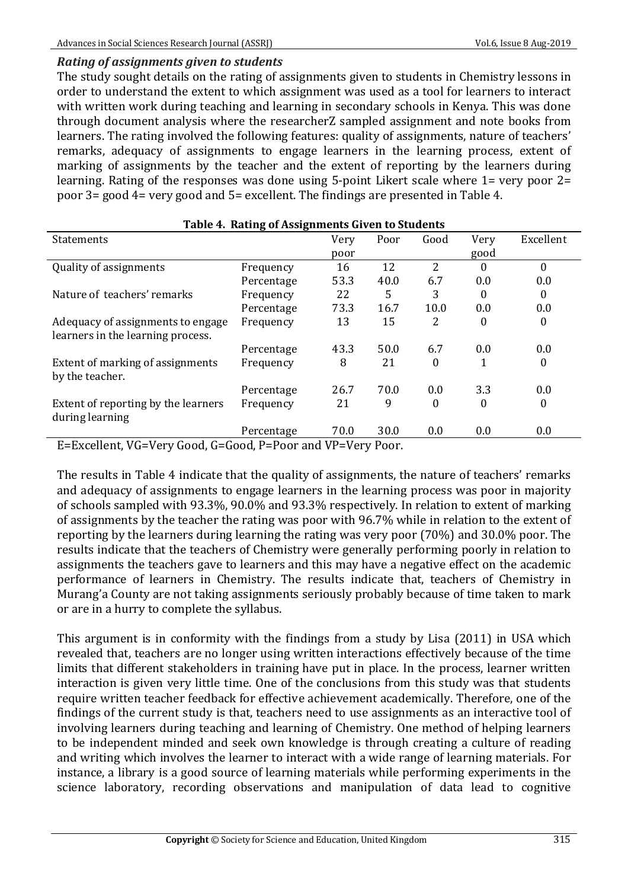### *Rating of assignments given to students*

The study sought details on the rating of assignments given to students in Chemistry lessons in order to understand the extent to which assignment was used as a tool for learners to interact with written work during teaching and learning in secondary schools in Kenya. This was done through document analysis where the researcherZ sampled assignment and note books from learners. The rating involved the following features: quality of assignments, nature of teachers' remarks, adequacy of assignments to engage learners in the learning process, extent of marking of assignments by the teacher and the extent of reporting by the learners during learning. Rating of the responses was done using 5-point Likert scale where  $1=$  very poor  $2=$ poor  $3=$  good  $4=$  very good and  $5=$  excellent. The findings are presented in Table 4.

| Table 4. Rating of Assignments Given to Students                                                                          |                           |          |      |                  |          |           |
|---------------------------------------------------------------------------------------------------------------------------|---------------------------|----------|------|------------------|----------|-----------|
| Statements                                                                                                                |                           | Very     | Poor | Good             | Very     | Excellent |
|                                                                                                                           |                           | poor     |      |                  | good     |           |
| Quality of assignments                                                                                                    | Frequency                 | 16       | 12   | $\overline{2}$   |          | $\Omega$  |
|                                                                                                                           | Percentage                | 53.3     | 40.0 | 6.7              | 0.0      | $0.0\,$   |
| Nature of teachers' remarks                                                                                               | Frequency                 | 22       | 5    | 3                | 0        | $\theta$  |
|                                                                                                                           | Percentage                | 73.3     | 16.7 | 10.0             | 0.0      | 0.0       |
| Adequacy of assignments to engage                                                                                         | Frequency                 | 13       | 15   | 2                | $\Omega$ | $\theta$  |
| learners in the learning process.                                                                                         |                           |          |      |                  |          |           |
|                                                                                                                           | Percentage                | 43.3     | 50.0 | 6.7              | 0.0      | 0.0       |
| Extent of marking of assignments                                                                                          | Frequency                 | 8        | 21   | $\theta$         |          | $\theta$  |
| by the teacher.                                                                                                           |                           |          |      |                  |          |           |
|                                                                                                                           | Percentage                | 26.7     | 70.0 | 0.0              | 3.3      | 0.0       |
| Extent of reporting by the learners                                                                                       | Frequency                 | 21       | 9    | $\boldsymbol{0}$ | $\Omega$ | $\theta$  |
| during learning                                                                                                           |                           |          |      |                  |          |           |
|                                                                                                                           | Percentage                | 70.0     | 30.0 | 0.0              | 0.0      | 0.0       |
| $\mathbf{u}$<br>$\mathbf{r}$ $\mathbf{r}$ $\mathbf{r}$<br>$\sim$ $\sim$<br>$\mathbf{1}$ $\alpha$ $\alpha$<br>$\mathbf{r}$ | $\mathbf{r}$ $\mathbf{r}$ | 1.777.77 | -    |                  |          |           |

E=Excellent, VG=Very Good, G=Good, P=Poor and VP=Very Poor.

The results in Table 4 indicate that the quality of assignments, the nature of teachers' remarks and adequacy of assignments to engage learners in the learning process was poor in majority of schools sampled with 93.3%, 90.0% and 93.3% respectively. In relation to extent of marking of assignments by the teacher the rating was poor with 96.7% while in relation to the extent of reporting by the learners during learning the rating was very poor  $(70%)$  and  $30.0%$  poor. The results indicate that the teachers of Chemistry were generally performing poorly in relation to assignments the teachers gave to learners and this may have a negative effect on the academic performance of learners in Chemistry. The results indicate that, teachers of Chemistry in Murang'a County are not taking assignments seriously probably because of time taken to mark or are in a hurry to complete the syllabus.

This argument is in conformity with the findings from a study by Lisa (2011) in USA which revealed that, teachers are no longer using written interactions effectively because of the time limits that different stakeholders in training have put in place. In the process, learner written interaction is given very little time. One of the conclusions from this study was that students require written teacher feedback for effective achievement academically. Therefore, one of the findings of the current study is that, teachers need to use assignments as an interactive tool of involving learners during teaching and learning of Chemistry. One method of helping learners to be independent minded and seek own knowledge is through creating a culture of reading and writing which involves the learner to interact with a wide range of learning materials. For instance, a library is a good source of learning materials while performing experiments in the science laboratory, recording observations and manipulation of data lead to cognitive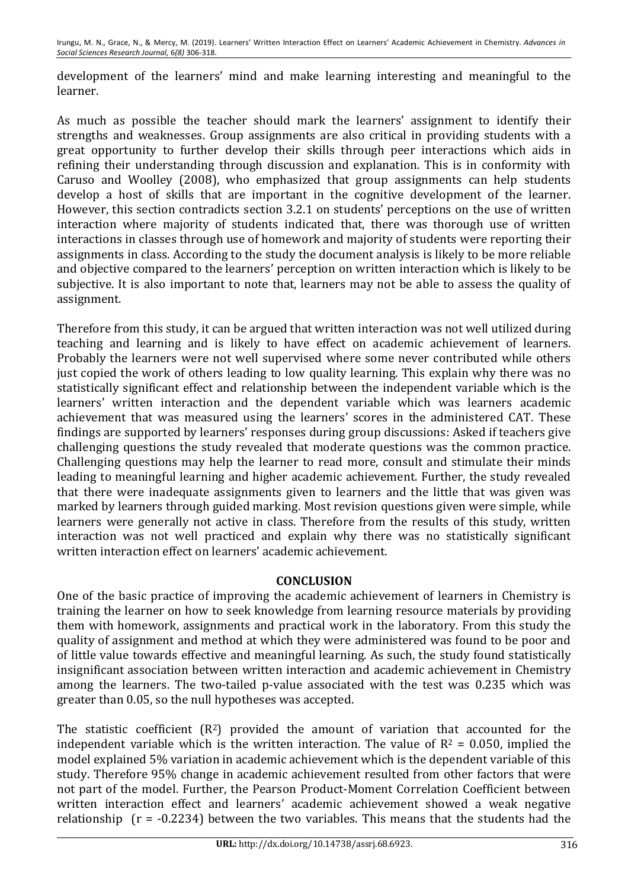development of the learners' mind and make learning interesting and meaningful to the learner.

As much as possible the teacher should mark the learners' assignment to identify their strengths and weaknesses. Group assignments are also critical in providing students with a great opportunity to further develop their skills through peer interactions which aids in refining their understanding through discussion and explanation. This is in conformity with Caruso and Woolley (2008), who emphasized that group assignments can help students develop a host of skills that are important in the cognitive development of the learner. However, this section contradicts section 3.2.1 on students' perceptions on the use of written interaction where majority of students indicated that, there was thorough use of written interactions in classes through use of homework and majority of students were reporting their assignments in class. According to the study the document analysis is likely to be more reliable and objective compared to the learners' perception on written interaction which is likely to be subjective. It is also important to note that, learners may not be able to assess the quality of assignment.

Therefore from this study, it can be argued that written interaction was not well utilized during teaching and learning and is likely to have effect on academic achievement of learners. Probably the learners were not well supervised where some never contributed while others just copied the work of others leading to low quality learning. This explain why there was no statistically significant effect and relationship between the independent variable which is the learners' written interaction and the dependent variable which was learners academic achievement that was measured using the learners' scores in the administered CAT. These findings are supported by learners' responses during group discussions: Asked if teachers give challenging questions the study revealed that moderate questions was the common practice. Challenging questions may help the learner to read more, consult and stimulate their minds leading to meaningful learning and higher academic achievement. Further, the study revealed that there were inadequate assignments given to learners and the little that was given was marked by learners through guided marking. Most revision questions given were simple, while learners were generally not active in class. Therefore from the results of this study, written interaction was not well practiced and explain why there was no statistically significant written interaction effect on learners' academic achievement.

# **CONCLUSION**

One of the basic practice of improving the academic achievement of learners in Chemistry is training the learner on how to seek knowledge from learning resource materials by providing them with homework, assignments and practical work in the laboratory. From this study the quality of assignment and method at which they were administered was found to be poor and of little value towards effective and meaningful learning. As such, the study found statistically insignificant association between written interaction and academic achievement in Chemistry among the learners. The two-tailed p-value associated with the test was 0.235 which was greater than 0.05, so the null hypotheses was accepted.

The statistic coefficient  $(R^2)$  provided the amount of variation that accounted for the independent variable which is the written interaction. The value of  $R^2 = 0.050$ , implied the model explained 5% variation in academic achievement which is the dependent variable of this study. Therefore 95% change in academic achievement resulted from other factors that were not part of the model. Further, the Pearson Product-Moment Correlation Coefficient between written interaction effect and learners' academic achievement showed a weak negative relationship  $(r = -0.2234)$  between the two variables. This means that the students had the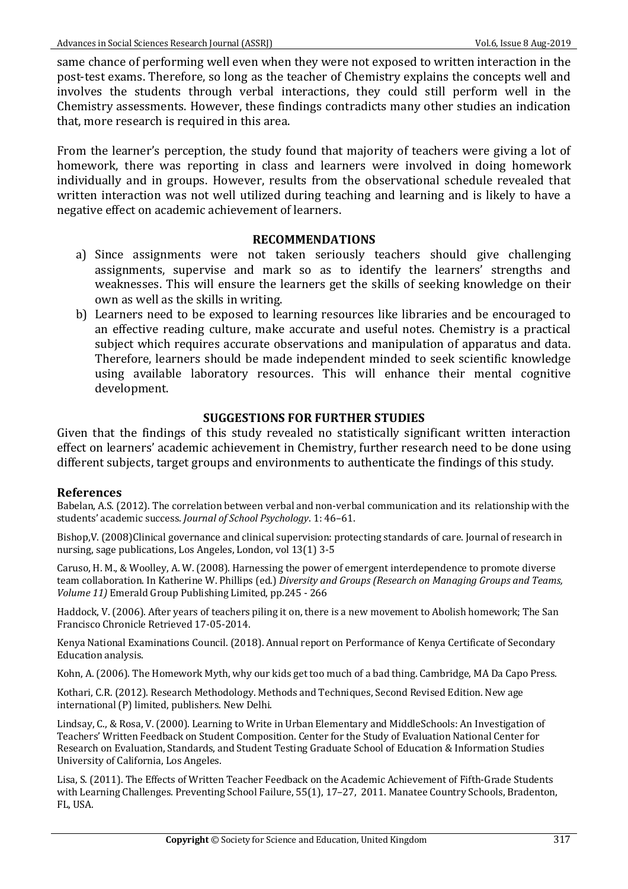same chance of performing well even when they were not exposed to written interaction in the post-test exams. Therefore, so long as the teacher of Chemistry explains the concepts well and involves the students through verbal interactions, they could still perform well in the Chemistry assessments. However, these findings contradicts many other studies an indication that, more research is required in this area.

From the learner's perception, the study found that majority of teachers were giving a lot of homework, there was reporting in class and learners were involved in doing homework individually and in groups. However, results from the observational schedule revealed that written interaction was not well utilized during teaching and learning and is likely to have a negative effect on academic achievement of learners.

### **RECOMMENDATIONS**

- a) Since assignments were not taken seriously teachers should give challenging assignments, supervise and mark so as to identify the learners' strengths and weaknesses. This will ensure the learners get the skills of seeking knowledge on their own as well as the skills in writing.
- b) Learners need to be exposed to learning resources like libraries and be encouraged to an effective reading culture, make accurate and useful notes. Chemistry is a practical subject which requires accurate observations and manipulation of apparatus and data. Therefore, learners should be made independent minded to seek scientific knowledge using available laboratory resources. This will enhance their mental cognitive development.

### **SUGGESTIONS FOR FURTHER STUDIES**

Given that the findings of this study revealed no statistically significant written interaction effect on learners' academic achievement in Chemistry, further research need to be done using different subjects, target groups and environments to authenticate the findings of this study.

### **References**

Babelan, A.S. (2012). The correlation between verbal and non-verbal communication and its relationship with the students' academic success. *Journal of School Psychology*. 1: 46–61.

Bishop, V. (2008)Clinical governance and clinical supervision: protecting standards of care. Journal of research in nursing, sage publications, Los Angeles, London, vol  $13(1)$  3-5

Caruso, H. M., & Woolley, A. W. (2008). Harnessing the power of emergent interdependence to promote diverse team collaboration. In Katherine W. Phillips (ed.) *Diversity and Groups (Research on Managing Groups and Teams, Volume 11)* Emerald Group Publishing Limited, pp.245 - 266

Haddock, V. (2006). After years of teachers piling it on, there is a new movement to Abolish homework; The San Francisco Chronicle Retrieved 17-05-2014.

Kenya National Examinations Council. (2018). Annual report on Performance of Kenya Certificate of Secondary Education analysis. 

Kohn, A. (2006). The Homework Myth, why our kids get too much of a bad thing. Cambridge, MA Da Capo Press.

Kothari, C.R. (2012). Research Methodology. Methods and Techniques, Second Revised Edition. New age international (P) limited, publishers. New Delhi.

Lindsay, C., & Rosa, V. (2000). Learning to Write in Urban Elementary and MiddleSchools: An Investigation of Teachers' Written Feedback on Student Composition. Center for the Study of Evaluation National Center for Research on Evaluation, Standards, and Student Testing Graduate School of Education & Information Studies University of California, Los Angeles.

Lisa, S. (2011). The Effects of Written Teacher Feedback on the Academic Achievement of Fifth-Grade Students with Learning Challenges. Preventing School Failure, 55(1), 17-27, 2011. Manatee Country Schools, Bradenton, FL, USA.